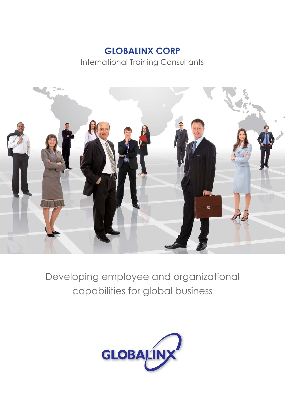# **GLOBALINX CORP**

International Training Consultants



Developing employee and organizational capabilities for global business

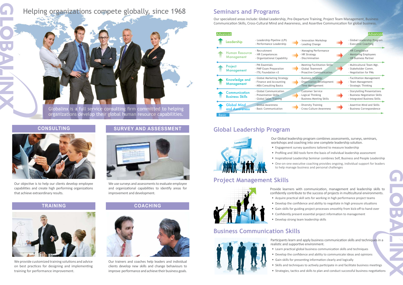

# Helping organizations compete globally, since 1968

Globalinx is a full service consulting firm committed to helping organizations develop their global human resource capabilities.

> Our trainers and coaches help leaders and individual clients develop new skills and change behaviours to improve performance and achieve their business goals.

We provide customized training solutions and advice on best practices for designing and implementing training for performance improvement.

Our objective is to help our clients develop employee capabilities and create high performing organizations that achieve extraordinary results.

We use surveys and assessments to evaluate employee and organizational capabilities to identify areas for improvement and development.



#### **CONSULTING**



# **Seminars and Programs**

Our specialized areas include: Global Leadership, Pre-Departure Training, Project Team Management, Business Communication Skills, Cross-Cultural Mind and Awareness, and Assertive Communication for global business.

| Advanced                                |                                                                                    |                                                                                 | Advanced                                                                                      |
|-----------------------------------------|------------------------------------------------------------------------------------|---------------------------------------------------------------------------------|-----------------------------------------------------------------------------------------------|
| Leadership                              | - Leadership Pipeline (LPI)<br>- Performance Leadership                            | - Innovation Workshop<br>- Leading Change                                       | - Global Leadership Program<br>- Executive Coaching                                           |
| <b>Human Resource</b><br>Management     | - Recruitment<br>- HR Competences<br>- Organizational Capability                   | - Managing Performance<br>- HR Strategy<br>- Discrimination                     | - HR Compliance<br>- Mentoring Employees<br>- HR Business Partner                             |
| Project<br><b>Management</b>            | - PM Essentials<br>- PMP Exam Preparation<br>- ITIL Foundation v3                  | - Meeting Facilitation Skills<br>- Global Teamwork<br>- Proactive Communication | - Multicultural Team Mgt.<br>- Stakeholder Comm.<br>- Negotiation for PMs                     |
| Knowledge and<br>Management             | - Global Marketing Strategy<br>- Finance and Accounting<br>- MBA Consulting Basics | - Business Strategy<br>Organization Development<br>Time Management              | - Facilitation Management<br>- Team Management<br>- Strategic Thinking                        |
| Communication<br><b>Business Skills</b> | - Global Communication<br>- Presentation Skills<br>- Global Sales Training         | - Customer Service<br>- Logical Thinking<br>- Business Meeting Skills           | - Storytelling Presentations<br>- Business Negotiation Skills<br>- Integrated Business Skills |
| <b>Global Mind</b><br>and Awareness     | - Global Awareness<br>- Basic Communication                                        | - Diversity Training<br>- Cross-Culture Awareness                               | - Assertive Mind and Skills<br>- Business Correspondence                                      |
| <b>Basic</b>                            |                                                                                    |                                                                                 |                                                                                               |

#### **Global Leadership Program**



- 
- Engagement survey questions tailored to measure leadership
- 
- 
- 
- Our Global leadership program combines assessments, surveys, seminars, workshops and coaching into one complete leadership solution.
- Profiling and 360 tools form the basis of individual leadership assessment
- Inspirational Leadership Seminar combines Self, Business and People Leadership • One-on-one executive coaching provides ongoing, individual support for leaders to help manage business and personal challenges

### **Business Communication Skills**



realistic and supportive environment.

- Participants learn and apply business communication skills and techniques in a
- Learn practical global business communication skills and techniques
- Develop the confidence and ability to communicate ideas and opinions
- Gain skills for presenting information clearly and logically
- 
- 
- 
- 
- Skills and techniques to actively participate in and facilitate business meetings • Strategies, tactics and skills to plan and conduct successful business negotiations

# **Project Management Skills**



Provide learners with communication, management and leadership skills to confidently contribute to the success of projects in multicultural environments. • Acquire practical skill sets for working in high performance project teams • Develop the confidence and ability to negotiate in high pressure situations • Gain skills for guiding project processes smoothly from kick-off to hand-over • Confidently present essential project information to management

- 
- 
- 
- Develop strong team leadership skills

#### **SURVEY AND ASSESSMENT**



#### **TRAINING COACHING**